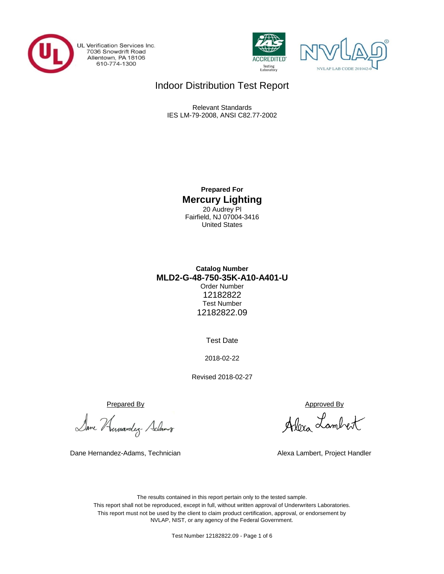

UL Verification Services Inc. 7036 Snowdrift Road<br>Allentown, PA 18106<br>610-774-1300





# Indoor Distribution Test Report

Relevant Standards IES LM-79-2008, ANSI C82.77-2002

> **Prepared For Mercury Lighting** 20 Audrey Pl Fairfield, NJ 07004-3416 United States

## **MLD2-G-48-750-35K-A10-A401-U Catalog Number** Order Number 12182822 Test Number 12182822.09

Test Date

2018-02-22

Revised 2018-02-27

Prepared By Approved By

Dane Humandez- Adams

Dane Hernandez-Adams, Technician Alexa Lambert, Project Handler

Alexa Lambert

The results contained in this report pertain only to the tested sample. This report shall not be reproduced, except in full, without written approval of Underwriters Laboratories. This report must not be used by the client to claim product certification, approval, or endorsement by NVLAP, NIST, or any agency of the Federal Government.

Test Number 12182822.09 - Page 1 of 6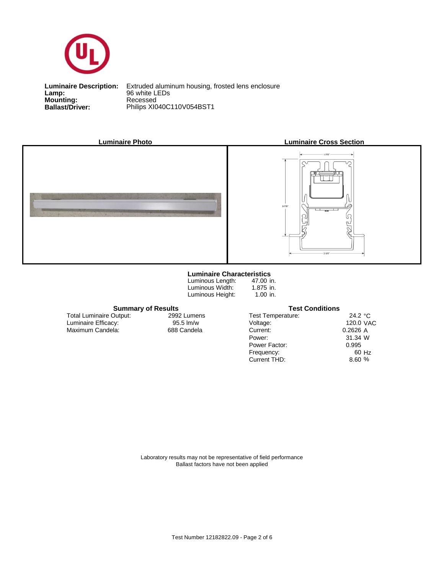

**Lamp:**<br>Mounting:<br>Ballast/Driver: **Lamp:** 96 white LEDs

**Ballast/Driver:** Philips XI040C110V054BST1 **Luminaire Description:** Extruded aluminum housing, frosted lens enclosure



#### **Luminaire Characteristics**

Luminous Length: Luminous Width: Luminous Height:

47.00 in. 1.875 in. 1.00 in.

#### **Summary of Results Test Conditions**

Maximum Candela: 688 Candela Luminaire Efficacy: Total Luminaire Output:

2992 Lumens<br>95.5 lm/w

| <b>Test Temperature:</b> | 24.2 $\degree$ C |
|--------------------------|------------------|
| Voltage:                 | 120.0 VAC        |
| Current:                 | 0.2626A          |
| Power:                   | 31.34 W          |
| Power Factor:            | 0.995            |
| Frequency:               | 60 Hz            |
| Current THD:             | 8.60 %           |

Laboratory results may not be representative of field performance Ballast factors have not been applied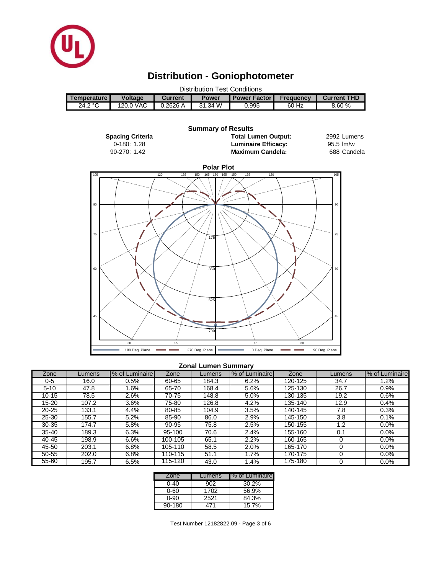

# **Distribution - Goniophotometer**



#### **Zonal Lumen Summary**

| Zone      | _umens | % of Luminaire | Zone    | Lumens | % of Luminaire | Zone    | Lumens | % of Luminaire |
|-----------|--------|----------------|---------|--------|----------------|---------|--------|----------------|
| 0-5       | 16.0   | 0.5%           | 60-65   | 184.3  | 6.2%           | 120-125 | 34.7   | $1.2\%$        |
| $5 - 10$  | 47.8   | .6%            | 65-70   | 168.4  | 5.6%           | 125-130 | 26.7   | 0.9%           |
| $10 - 15$ | 78.5   | 2.6%           | 70-75   | 148.8  | 5.0%           | 130-135 | 19.2   | 0.6%           |
| 15-20     | 107.2  | 3.6%           | 75-80   | 126.8  | 4.2%           | 135-140 | 12.9   | 0.4%           |
| $20 - 25$ | 133.1  | 4.4%           | 80-85   | 104.9  | 3.5%           | 140-145 | 7.8    | 0.3%           |
| $25 - 30$ | 155.7  | 5.2%           | 85-90   | 86.0   | 2.9%           | 145-150 | 3.8    | 0.1%           |
| $30 - 35$ | 174.7  | 5.8%           | 90-95   | 75.8   | 2.5%           | 150-155 | 1.2    | 0.0%           |
| $35 - 40$ | 189.3  | 6.3%           | 95-100  | 70.6   | 2.4%           | 155-160 | 0.1    | $0.0\%$        |
| 40-45     | 198.9  | 6.6%           | 100-105 | 65.1   | 2.2%           | 160-165 |        | 0.0%           |
| 45-50     | 203.1  | 6.8%           | 105-110 | 58.5   | 2.0%           | 165-170 |        | $0.0\%$        |
| 50-55     | 202.0  | 6.8%           | 110-115 | 51.1   | $.7\%$         | 170-175 |        | 0.0%           |
| $55 - 60$ | 195.7  | 6.5%           | 115-120 | 43.0   | .4%            | 175-180 |        | 0.0%           |

| Zone       | Lumens | I% of Luminaire |
|------------|--------|-----------------|
| 0-40       | 902    | 30.2%           |
| 0-60       | 1702   | 56.9%           |
| 0-90       | 2521   | 84.3%           |
| $90 - 180$ | 471    | 15.7%           |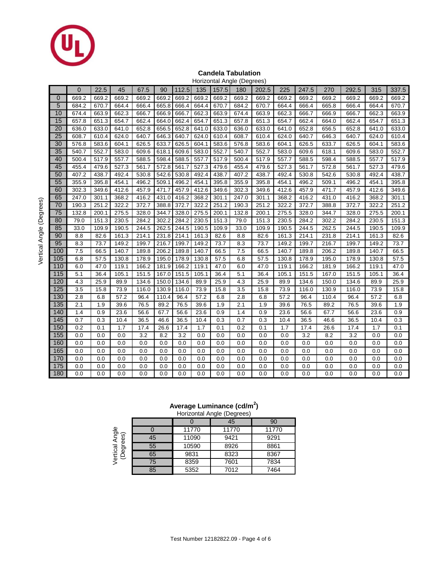

#### **Candela Tabulation**

|     | Horizontal Angle (Degrees) |       |       |       |       |       |       |       |       |       |       |       |       |       |       |       |
|-----|----------------------------|-------|-------|-------|-------|-------|-------|-------|-------|-------|-------|-------|-------|-------|-------|-------|
|     | $\Omega$                   | 22.5  | 45    | 67.5  | 90    | 112.5 | 135   | 157.5 | 180   | 202.5 | 225   | 247.5 | 270   | 292.5 | 315   | 337.5 |
| 0   | 669.2                      | 669.2 | 669.2 | 669.2 | 669.2 | 669.2 | 669.2 | 669.2 | 669.2 | 669.2 | 669.2 | 669.2 | 669.2 | 669.2 | 669.2 | 669.2 |
| 5   | 684.2                      | 670.7 | 664.4 | 666.4 | 665.8 | 666.4 | 664.4 | 670.7 | 684.2 | 670.7 | 664.4 | 666.4 | 665.8 | 666.4 | 664.4 | 670.7 |
| 10  | 674.4                      | 663.9 | 662.3 | 666.7 | 666.9 | 666.7 | 662.3 | 663.9 | 674.4 | 663.9 | 662.3 | 666.7 | 666.9 | 666.7 | 662.3 | 663.9 |
| 15  | 657.8                      | 651.3 | 654.7 | 662.4 | 664.0 | 662.4 | 654.7 | 651.3 | 657.8 | 651.3 | 654.7 | 662.4 | 664.0 | 662.4 | 654.7 | 651.3 |
| 20  | 636.0                      | 633.0 | 641.0 | 652.8 | 656.5 | 652.8 | 641.0 | 633.0 | 636.0 | 633.0 | 641.0 | 652.8 | 656.5 | 652.8 | 641.0 | 633.0 |
| 25  | 608.7                      | 610.4 | 624.0 | 640.7 | 646.3 | 640.7 | 624.0 | 610.4 | 608.7 | 610.4 | 624.0 | 640.7 | 646.3 | 640.7 | 624.0 | 610.4 |
| 30  | 576.8                      | 583.6 | 604.1 | 626.5 | 633.7 | 626.5 | 604.1 | 583.6 | 576.8 | 583.6 | 604.1 | 626.5 | 633.7 | 626.5 | 604.1 | 583.6 |
| 35  | 540.7                      | 552.7 | 583.0 | 609.6 | 618.1 | 609.6 | 583.0 | 552.7 | 540.7 | 552.7 | 583.0 | 609.6 | 618.1 | 609.6 | 583.0 | 552.7 |
| 40  | 500.4                      | 517.9 | 557.7 | 588.5 | 598.4 | 588.5 | 557.7 | 517.9 | 500.4 | 517.9 | 557.7 | 588.5 | 598.4 | 588.5 | 557.7 | 517.9 |
| 45  | 455.4                      | 479.6 | 527.3 | 561.7 | 572.8 | 561.7 | 527.3 | 479.6 | 455.4 | 479.6 | 527.3 | 561.7 | 572.8 | 561.7 | 527.3 | 479.6 |
| 50  | 407.2                      | 438.7 | 492.4 | 530.8 | 542.6 | 530.8 | 492.4 | 438.7 | 407.2 | 438.7 | 492.4 | 530.8 | 542.6 | 530.8 | 492.4 | 438.7 |
| 55  | 355.9                      | 395.8 | 454.1 | 496.2 | 509.1 | 496.2 | 454.1 | 395.8 | 355.9 | 395.8 | 454.1 | 496.2 | 509.1 | 496.2 | 454.1 | 395.8 |
| 60  | 302.3                      | 349.6 | 412.6 | 457.9 | 471.7 | 457.9 | 412.6 | 349.6 | 302.3 | 349.6 | 412.6 | 457.9 | 471.7 | 457.9 | 412.6 | 349.6 |
| 65  | 247.0                      | 301.1 | 368.2 | 416.2 | 431.0 | 416.2 | 368.2 | 301.1 | 247.0 | 301.1 | 368.2 | 416.2 | 431.0 | 416.2 | 368.2 | 301.1 |
| 70  | 190.3                      | 251.2 | 322.2 | 372.7 | 388.8 | 372.7 | 322.2 | 251.2 | 190.3 | 251.2 | 322.2 | 372.7 | 388.8 | 372.7 | 322.2 | 251.2 |
| 75  | 132.8                      | 200.1 | 275.5 | 328.0 | 344.7 | 328.0 | 275.5 | 200.1 | 132.8 | 200.1 | 275.5 | 328.0 | 344.7 | 328.0 | 275.5 | 200.1 |
| 80  | 79.0                       | 151.3 | 230.5 | 284.2 | 302.2 | 284.2 | 230.5 | 151.3 | 79.0  | 151.3 | 230.5 | 284.2 | 302.2 | 284.2 | 230.5 | 151.3 |
| 85  | 33.0                       | 109.9 | 190.5 | 244.5 | 262.5 | 244.5 | 190.5 | 109.9 | 33.0  | 109.9 | 190.5 | 244.5 | 262.5 | 244.5 | 190.5 | 109.9 |
| 90  | 8.8                        | 82.6  | 161.3 | 214.1 | 231.8 | 214.1 | 161.3 | 82.6  | 8.8   | 82.6  | 161.3 | 214.1 | 231.8 | 214.1 | 161.3 | 82.6  |
| 95  | 8.3                        | 73.7  | 149.2 | 199.7 | 216.7 | 199.7 | 149.2 | 73.7  | 8.3   | 73.7  | 149.2 | 199.7 | 216.7 | 199.7 | 149.2 | 73.7  |
| 100 | 7.5                        | 66.5  | 140.7 | 189.8 | 206.2 | 189.8 | 140.7 | 66.5  | 7.5   | 66.5  | 140.7 | 189.8 | 206.2 | 189.8 | 140.7 | 66.5  |
| 105 | 6.8                        | 57.5  | 130.8 | 178.9 | 195.0 | 178.9 | 130.8 | 57.5  | 6.8   | 57.5  | 130.8 | 178.9 | 195.0 | 178.9 | 130.8 | 57.5  |
| 110 | 6.0                        | 47.0  | 119.1 | 166.2 | 181.9 | 166.2 | 119.1 | 47.0  | 6.0   | 47.0  | 119.1 | 166.2 | 181.9 | 166.2 | 119.1 | 47.0  |
| 115 | 5.1                        | 36.4  | 105.1 | 151.5 | 167.0 | 151.5 | 105.1 | 36.4  | 5.1   | 36.4  | 105.1 | 151.5 | 167.0 | 151.5 | 105.1 | 36.4  |
| 120 | 4.3                        | 25.9  | 89.9  | 134.6 | 150.0 | 134.6 | 89.9  | 25.9  | 4.3   | 25.9  | 89.9  | 134.6 | 150.0 | 134.6 | 89.9  | 25.9  |
| 125 | 3.5                        | 15.8  | 73.9  | 116.0 | 130.9 | 116.0 | 73.9  | 15.8  | 3.5   | 15.8  | 73.9  | 116.0 | 130.9 | 116.0 | 73.9  | 15.8  |
| 130 | 2.8                        | 6.8   | 57.2  | 96.4  | 110.4 | 96.4  | 57.2  | 6.8   | 2.8   | 6.8   | 57.2  | 96.4  | 110.4 | 96.4  | 57.2  | 6.8   |
| 135 | 2.1                        | 1.9   | 39.6  | 76.5  | 89.2  | 76.5  | 39.6  | 1.9   | 2.1   | 1.9   | 39.6  | 76.5  | 89.2  | 76.5  | 39.6  | 1.9   |
| 140 | 1.4                        | 0.9   | 23.6  | 56.6  | 67.7  | 56.6  | 23.6  | 0.9   | 1.4   | 0.9   | 23.6  | 56.6  | 67.7  | 56.6  | 23.6  | 0.9   |
| 145 | 0.7                        | 0.3   | 10.4  | 36.5  | 46.6  | 36.5  | 10.4  | 0.3   | 0.7   | 0.3   | 10.4  | 36.5  | 46.6  | 36.5  | 10.4  | 0.3   |
| 150 | 0.2                        | 0.1   | 1.7   | 17.4  | 26.6  | 17.4  | 1.7   | 0.1   | 0.2   | 0.1   | 1.7   | 17.4  | 26.6  | 17.4  | 1.7   | 0.1   |
| 155 | 0.0                        | 0.0   | 0.0   | 3.2   | 8.2   | 3.2   | 0.0   | 0.0   | 0.0   | 0.0   | 0.0   | 3.2   | 8.2   | 3.2   | 0.0   | 0.0   |
| 160 | 0.0                        | 0.0   | 0.0   | 0.0   | 0.0   | 0.0   | 0.0   | 0.0   | 0.0   | 0.0   | 0.0   | 0.0   | 0.0   | 0.0   | 0.0   | 0.0   |
| 165 | 0.0                        | 0.0   | 0.0   | 0.0   | 0.0   | 0.0   | 0.0   | 0.0   | 0.0   | 0.0   | 0.0   | 0.0   | 0.0   | 0.0   | 0.0   | 0.0   |
| 170 | 0.0                        | 0.0   | 0.0   | 0.0   | 0.0   | 0.0   | 0.0   | 0.0   | 0.0   | 0.0   | 0.0   | 0.0   | 0.0   | 0.0   | 0.0   | 0.0   |
| 175 | 0.0                        | 0.0   | 0.0   | 0.0   | 0.0   | 0.0   | 0.0   | 0.0   | 0.0   | 0.0   | 0.0   | 0.0   | 0.0   | 0.0   | 0.0   | 0.0   |
| 180 | 0.0                        | 0.0   | 0.0   | 0.0   | 0.0   | 0.0   | 0.0   | 0.0   | 0.0   | 0.0   | 0.0   | 0.0   | 0.0   | 0.0   | 0.0   | 0.0   |

### **Average Luminance (cd/m<sup>2</sup> )**

|                                                |    |       | Horizontal Angle (Degrees) |       |
|------------------------------------------------|----|-------|----------------------------|-------|
|                                                |    |       | 45                         | 90    |
| Angle<br>aes)<br>Ë<br>Vertical<br>(Degre<br>Ğ9 |    | 11770 | 11770                      | 11770 |
|                                                | 45 | 11090 | 9421                       | 9291  |
|                                                | 55 | 10590 | 8926                       | 8861  |
|                                                | 65 | 9831  | 8323                       | 8367  |
|                                                | 75 | 8359  | 7601                       | 7834  |
|                                                | 85 | 5352  | 7012                       | 7464  |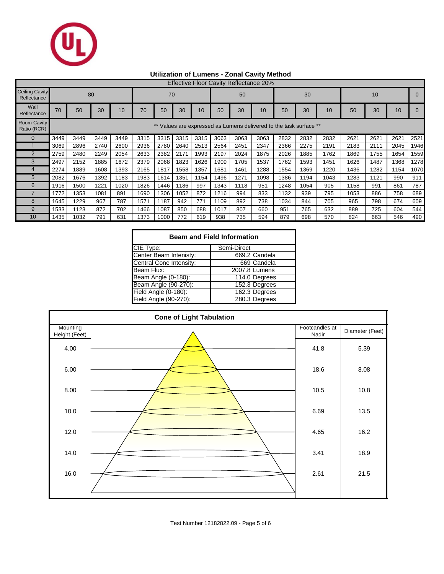

## **Utilization of Lumens - Zonal Cavity Method**

|                                      | <b>Effective Floor Cavity Reflectance 20%</b>                   |      |      |      |      |      |      |      |      |      |      |      |      |      |      |      |      |      |
|--------------------------------------|-----------------------------------------------------------------|------|------|------|------|------|------|------|------|------|------|------|------|------|------|------|------|------|
| <b>Ceiling Cavity</b><br>Reflectance |                                                                 |      | 80   |      |      | 70   |      |      | 50   |      |      |      | 30   |      | 10   |      |      |      |
| Wall<br>Reflectance                  | 70                                                              | 50   | 30   | 10   | 70   | 50   | 30   | 10   | 50   | 30   | 10   | 50   | 30   | 10   | 50   | 30   | 10   |      |
| <b>Room Cavity</b><br>Ratio (RCR)    | Values are expressed as Lumens delivered to the task surface ** |      |      |      |      |      |      |      |      |      |      |      |      |      |      |      |      |      |
| $\Omega$                             | 3449                                                            | 3449 | 3449 | 3449 | 3315 | 3315 | 3315 | 3315 | 3063 | 3063 | 3063 | 2832 | 2832 | 2832 | 2621 | 2621 | 2621 | 2521 |
|                                      | 3069                                                            | 2896 | 2740 | 2600 | 2936 | 2780 | 2640 | 2513 | 2564 | 2451 | 2347 | 2366 | 2275 | 2191 | 2183 | 2111 | 2045 | 1946 |
| $\overline{2}$                       | 2759                                                            | 2480 | 2249 | 2054 | 2633 | 2382 | 2171 | 1993 | 2197 | 2024 | 1875 | 2026 | 1885 | 1762 | 1869 | 1755 | 1654 | 1559 |
| 3                                    | 2497                                                            | 2152 | 1885 | 1672 | 2379 | 2068 | 1823 | 1626 | 1909 | 1705 | 1537 | 1762 | 1593 | 1451 | 1626 | 1487 | 1368 | 1278 |
|                                      | 2274                                                            | 1889 | 1608 | 1393 | 2165 | 1817 | 1558 | 1357 | 1681 | 1461 | 1288 | 1554 | 1369 | 1220 | 1436 | 1282 | 1154 | 1070 |
| 5                                    | 2082                                                            | 1676 | 1392 | 1183 | 1983 | 1614 | 1351 | 1154 | 1496 | 1271 | 1098 | 1386 | 1194 | 1043 | 1283 | 1121 | 990  | 911  |
| 6                                    | 1916                                                            | 1500 | 1221 | 1020 | 1826 | 1446 | 1186 | 997  | 1343 | 1118 | 951  | 1248 | 1054 | 905  | 1158 | 991  | 861  | 787  |
|                                      | 1772                                                            | 1353 | 1081 | 891  | 1690 | 1306 | 1052 | 872  | 1216 | 994  | 833  | 1132 | 939  | 795  | 1053 | 886  | 758  | 689  |
| 8                                    | 1645                                                            | 1229 | 967  | 787  | 1571 | 1187 | 942  | 771  | 1109 | 892  | 738  | 1034 | 844  | 705  | 965  | 798  | 674  | 609  |
| 9                                    | 1533                                                            | 1123 | 872  | 702  | 1466 | 1087 | 850  | 688  | 1017 | 807  | 660  | 951  | 765  | 632  | 889  | 725  | 604  | 544  |
| 10                                   | 1435                                                            | 1032 | 791  | 631  | 1373 | 1000 | 772  | 619  | 938  | 735  | 594  | 879  | 698  | 570  | 824  | 663  | 546  | 490  |

| <b>Beam and Field Information</b> |               |  |  |  |  |  |  |  |
|-----------------------------------|---------------|--|--|--|--|--|--|--|
| CIE Type:                         | Semi-Direct   |  |  |  |  |  |  |  |
| Center Beam Intenisty:            | 669.2 Candela |  |  |  |  |  |  |  |
| Central Cone Intensity:           | 669 Candela   |  |  |  |  |  |  |  |
| Beam Flux:                        | 2007.8 Lumens |  |  |  |  |  |  |  |
| Beam Angle (0-180):               | 114.0 Degrees |  |  |  |  |  |  |  |
| Beam Angle (90-270):              | 152.3 Degrees |  |  |  |  |  |  |  |
| Field Angle (0-180):              | 162.3 Degrees |  |  |  |  |  |  |  |
| Field Angle (90-270):             | 280.3 Degrees |  |  |  |  |  |  |  |